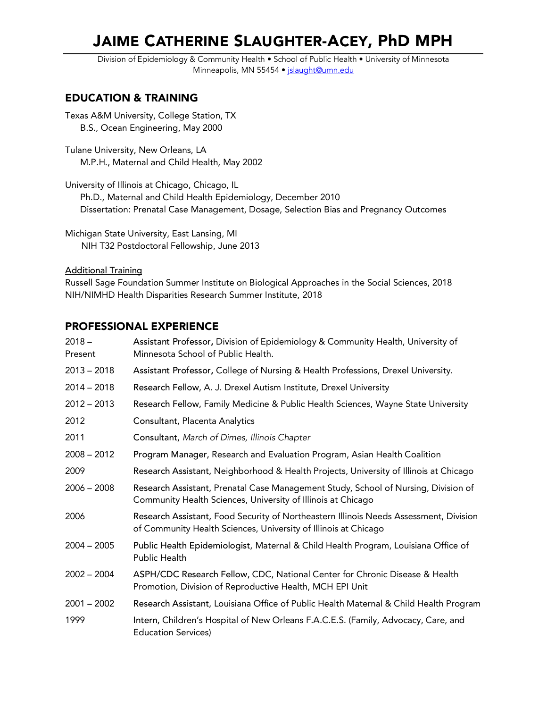# JAIME CATHERINE SLAUGHTER-ACEY, PhD MPH

Division of Epidemiology & Community Health • School of Public Health • University of Minnesota Minneapolis, MN 55454 · jslaught@umn.edu

# EDUCATION & TRAINING

Texas A&M University, College Station, TX B.S., Ocean Engineering, May 2000

Tulane University, New Orleans, LA M.P.H., Maternal and Child Health, May 2002

University of Illinois at Chicago, Chicago, IL Ph.D., Maternal and Child Health Epidemiology, December 2010 Dissertation: Prenatal Case Management, Dosage, Selection Bias and Pregnancy Outcomes

Michigan State University, East Lansing, MI NIH T32 Postdoctoral Fellowship, June 2013

Additional Training

Russell Sage Foundation Summer Institute on Biological Approaches in the Social Sciences, 2018 NIH/NIMHD Health Disparities Research Summer Institute, 2018

# PROFESSIONAL EXPERIENCE

| $2018 -$<br>Present | Assistant Professor, Division of Epidemiology & Community Health, University of<br>Minnesota School of Public Health.                                    |
|---------------------|----------------------------------------------------------------------------------------------------------------------------------------------------------|
| $2013 - 2018$       | Assistant Professor, College of Nursing & Health Professions, Drexel University.                                                                         |
| $2014 - 2018$       | Research Fellow, A. J. Drexel Autism Institute, Drexel University                                                                                        |
| $2012 - 2013$       | Research Fellow, Family Medicine & Public Health Sciences, Wayne State University                                                                        |
| 2012                | Consultant, Placenta Analytics                                                                                                                           |
| 2011                | Consultant, March of Dimes, Illinois Chapter                                                                                                             |
| $2008 - 2012$       | Program Manager, Research and Evaluation Program, Asian Health Coalition                                                                                 |
| 2009                | Research Assistant, Neighborhood & Health Projects, University of Illinois at Chicago                                                                    |
| $2006 - 2008$       | Research Assistant, Prenatal Case Management Study, School of Nursing, Division of<br>Community Health Sciences, University of Illinois at Chicago       |
| 2006                | Research Assistant, Food Security of Northeastern Illinois Needs Assessment, Division<br>of Community Health Sciences, University of Illinois at Chicago |
| $2004 - 2005$       | Public Health Epidemiologist, Maternal & Child Health Program, Louisiana Office of<br>Public Health                                                      |
| $2002 - 2004$       | ASPH/CDC Research Fellow, CDC, National Center for Chronic Disease & Health<br>Promotion, Division of Reproductive Health, MCH EPI Unit                  |
| $2001 - 2002$       | Research Assistant, Louisiana Office of Public Health Maternal & Child Health Program                                                                    |
| 1999                | Intern, Children's Hospital of New Orleans F.A.C.E.S. (Family, Advocacy, Care, and<br><b>Education Services)</b>                                         |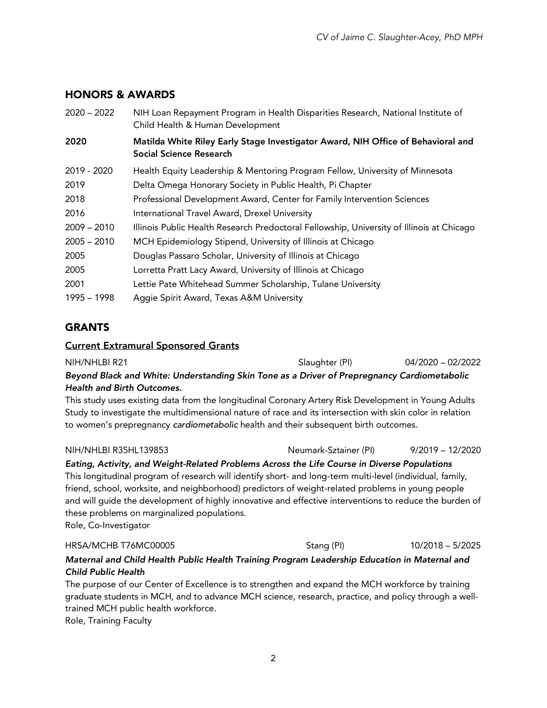# HONORS & AWARDS

| $2020 - 2022$ | NIH Loan Repayment Program in Health Disparities Research, National Institute of<br>Child Health & Human Development |
|---------------|----------------------------------------------------------------------------------------------------------------------|
| 2020          | Matilda White Riley Early Stage Investigator Award, NIH Office of Behavioral and<br>Social Science Research          |
| 2019 - 2020   | Health Equity Leadership & Mentoring Program Fellow, University of Minnesota                                         |
| 2019          | Delta Omega Honorary Society in Public Health, Pi Chapter                                                            |
| 2018          | Professional Development Award, Center for Family Intervention Sciences                                              |
| 2016          | International Travel Award, Drexel University                                                                        |
| $2009 - 2010$ | Illinois Public Health Research Predoctoral Fellowship, University of Illinois at Chicago                            |
| $2005 - 2010$ | MCH Epidemiology Stipend, University of Illinois at Chicago                                                          |
| 2005          | Douglas Passaro Scholar, University of Illinois at Chicago                                                           |
| 2005          | Lorretta Pratt Lacy Award, University of Illinois at Chicago                                                         |
| 2001          | Lettie Pate Whitehead Summer Scholarship, Tulane University                                                          |
| 1995 – 1998   | Aggie Spirit Award, Texas A&M University                                                                             |

# **GRANTS**

### Current Extramural Sponsored Grants

| NIH/NHLBI R21                                                                               | Slaughter (PI) | 04/2020 - 02/2022 |  |  |
|---------------------------------------------------------------------------------------------|----------------|-------------------|--|--|
| Beyond Black and White: Understanding Skin Tone as a Driver of Prepregnancy Cardiometabolic |                |                   |  |  |

### *Health and Birth Outcomes.*

This study uses existing data from the longitudinal Coronary Artery Risk Development in Young Adults Study to investigate the multidimensional nature of race and its intersection with skin color in relation to women's prepregnancy *cardiometabolic* health and their subsequent birth outcomes.

### NIH/NHLBI R35HL139853 Neumark-Sztainer (PI) 9/2019 – 12/2020

*Eating, Activity, and Weight-Related Problems Across the Life Course in Diverse Populations* This longitudinal program of research will identify short- and long-term multi-level (individual, family, friend, school, worksite, and neighborhood) predictors of weight-related problems in young people and will guide the development of highly innovative and effective interventions to reduce the burden of these problems on marginalized populations. Role, Co-Investigator

### HRSA/MCHB T76MC00005 Stang (PI) 5/2025 Stang (PI)

### *Maternal and Child Health Public Health Training Program Leadership Education in Maternal and Child Public Health*

The purpose of our Center of Excellence is to strengthen and expand the MCH workforce by training graduate students in MCH, and to advance MCH science, research, practice, and policy through a welltrained MCH public health workforce.

Role, Training Faculty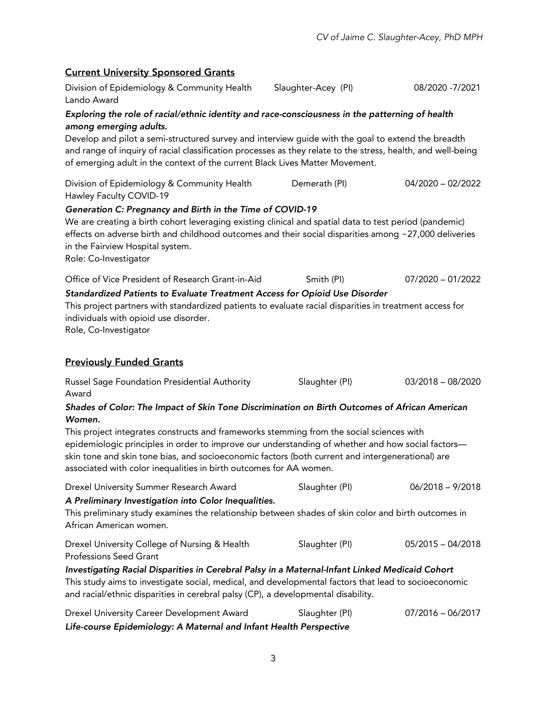### Current University Sponsored Grants

Division of Epidemiology & Community Health Lando Award Slaughter-Acey (PI) 08/2020 -7/2021 *Exploring the role of racial/ethnic identity and race-consciousness in the patterning of health among emerging adults.* Develop and pilot a semi-structured survey and interview guide with the goal to extend the breadth and range of inquiry of racial classification processes as they relate to the stress, health, and well-being of emerging adult in the context of the current Black Lives Matter Movement. Division of Epidemiology & Community Health Hawley Faculty COVID-19 Demerath (PI) 04/2020 – 02/2022 *Generation C: Pregnancy and Birth in the Time of COVID-19* We are creating a birth cohort leveraging existing clinical and spatial data to test period (pandemic) effects on adverse birth and childhood outcomes and their social disparities among ~27,000 deliveries in the Fairview Hospital system. Role: Co-Investigator Office of Vice President of Research Grant-in-Aid Smith (PI) 07/2020 – 01/2022 *Standardized Patients to Evaluate Treatment Access for Opioid Use Disorder* This project partners with standardized patients to evaluate racial disparities in treatment access for individuals with opioid use disorder. Role, Co-Investigator Previously Funded Grants Russel Sage Foundation Presidential Authority Award Slaughter (PI) 03/2018 – 08/2020 *Shades of Color: The Impact of Skin Tone Discrimination on Birth Outcomes of African American Women.*  This project integrates constructs and frameworks stemming from the social sciences with epidemiologic principles in order to improve our understanding of whether and how social factors skin tone and skin tone bias, and socioeconomic factors (both current and intergenerational) are associated with color inequalities in birth outcomes for AA women. Drexel University Summer Research Award Slaughter (PI) 06/2018 – 9/2018 *A Preliminary Investigation into Color Inequalities.*  This preliminary study examines the relationship between shades of skin color and birth outcomes in African American women. Drexel University College of Nursing & Health Professions Seed Grant Slaughter (PI) 05/2015 – 04/2018 *Investigating Racial Disparities in Cerebral Palsy in a Maternal-Infant Linked Medicaid Cohort* This study aims to investigate social, medical, and developmental factors that lead to socioeconomic and racial/ethnic disparities in cerebral palsy (CP), a developmental disability. Drexel University Career Development Award Slaughter (PI) 07/2016 – 06/2017

*Life-course Epidemiology: A Maternal and Infant Health Perspective*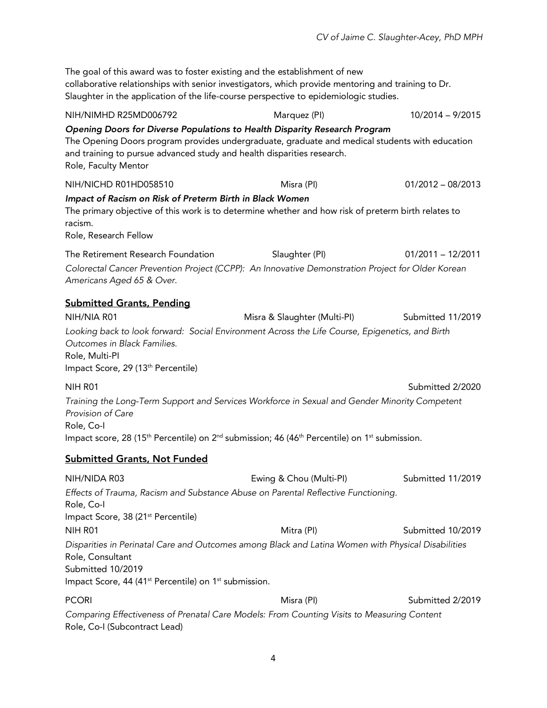The goal of this award was to foster existing and the establishment of new collaborative relationships with senior investigators, which provide mentoring and training to Dr. Slaughter in the application of the life-course perspective to epidemiologic studies. NIH/NIMHD R25MD006792 Marquez (PI) 10/2014 – 9/2015 *Opening Doors for Diverse Populations to Health Disparity Research Program*  The Opening Doors program provides undergraduate, graduate and medical students with education and training to pursue advanced study and health disparities research. Role, Faculty Mentor NIH/NICHD R01HD058510 Misra (PI) 01/2012 – 08/2013 *Impact of Racism on Risk of Preterm Birth in Black Women* The primary objective of this work is to determine whether and how risk of preterm birth relates to racism. Role, Research Fellow The Retirement Research Foundation Slaughter (PI) 01/2011 – 12/2011 *Colorectal Cancer Prevention Project (CCPP): An Innovative Demonstration Project for Older Korean Americans Aged 65 & Over.* Submitted Grants, Pending NIH/NIA R01 Misra & Slaughter (Multi-PI) Submitted 11/2019 *Looking back to look forward: Social Environment Across the Life Course, Epigenetics, and Birth Outcomes in Black Families.* Role, Multi-PI Impact Score, 29 (13<sup>th</sup> Percentile) NIH R01 Submitted 2/2020 *Training the Long-Term Support and Services Workforce in Sexual and Gender Minority Competent Provision of Care* Role, Co-I Impact score, 28 (15<sup>th</sup> Percentile) on  $2^{nd}$  submission; 46 (46<sup>th</sup> Percentile) on 1<sup>st</sup> submission. Submitted Grants, Not Funded NIH/NIDA R03 Ewing & Chou (Multi-PI) Submitted 11/2019 *Effects of Trauma, Racism and Substance Abuse on Parental Reflective Functioning.* Role, Co-I Impact Score, 38 (21st Percentile) NIH R01 Mitra (PI) Mitra (PI) Submitted 10/2019 *Disparities in Perinatal Care and Outcomes among Black and Latina Women with Physical Disabilities* Role, Consultant Submitted 10/2019 Impact Score, 44 (41<sup>st</sup> Percentile) on 1<sup>st</sup> submission. PCORI Misra (PI) Submitted 2/2019 *Comparing Effectiveness of Prenatal Care Models: From Counting Visits to Measuring Content* Role, Co-I (Subcontract Lead)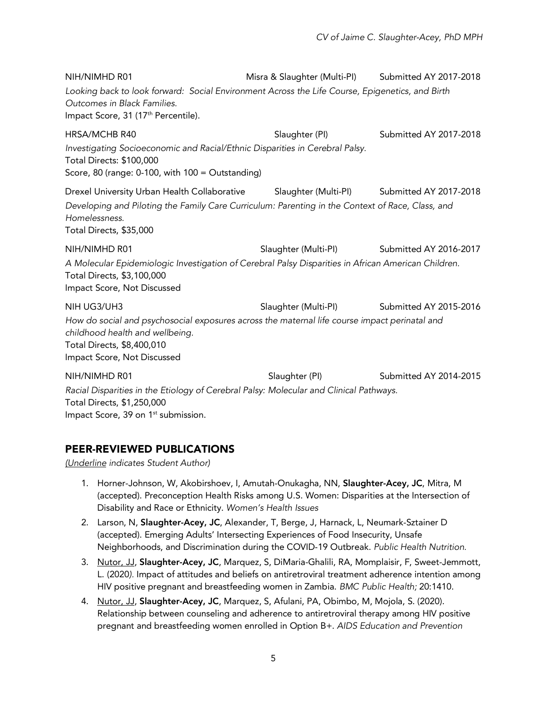NIH/NIMHD R01 Misra & Slaughter (Multi-PI) Submitted AY 2017-2018 *Looking back to look forward: Social Environment Across the Life Course, Epigenetics, and Birth Outcomes in Black Families.* Impact Score, 31 (17<sup>th</sup> Percentile). HRSA/MCHB R40 Slaughter (PI) Submitted AY 2017-2018 *Investigating Socioeconomic and Racial/Ethnic Disparities in Cerebral Palsy.*  Total Directs: \$100,000 Score, 80 (range: 0-100, with 100 = Outstanding) Drexel University Urban Health Collaborative Slaughter (Multi-PI) Submitted AY 2017-2018 *Developing and Piloting the Family Care Curriculum: Parenting in the Context of Race, Class, and Homelessness.* Total Directs, \$35,000 NIH/NIMHD R01 Slaughter (Multi-PI) Submitted AY 2016-2017 *A Molecular Epidemiologic Investigation of Cerebral Palsy Disparities in African American Children.*  Total Directs, \$3,100,000 Impact Score, Not Discussed NIH UG3/UH3 Slaughter (Multi-PI) Submitted AY 2015-2016 *How do social and psychosocial exposures across the maternal life course impact perinatal and childhood health and wellbeing.*  Total Directs, \$8,400,010 Impact Score, Not Discussed NIH/NIMHD R01 Slaughter (PI) Submitted AY 2014-2015 *Racial Disparities in the Etiology of Cerebral Palsy: Molecular and Clinical Pathways.* 

Total Directs, \$1,250,000 Impact Score, 39 on 1<sup>st</sup> submission.

# PEER-REVIEWED PUBLICATIONS

*(Underline indicates Student Author)*

- 1. Horner-Johnson, W, Akobirshoev, I, Amutah-Onukagha, NN, Slaughter-Acey, JC, Mitra, M (accepted). Preconception Health Risks among U.S. Women: Disparities at the Intersection of Disability and Race or Ethnicity. *Women's Health Issues*
- 2. Larson, N, Slaughter-Acey, JC, Alexander, T, Berge, J, Harnack, L, Neumark-Sztainer D (accepted). Emerging Adults' Intersecting Experiences of Food Insecurity, Unsafe Neighborhoods, and Discrimination during the COVID-19 Outbreak. *Public Health Nutrition.*
- 3. Nutor, JJ, Slaughter-Acey, JC, Marquez, S, DiMaria-Ghalili, RA, Momplaisir, F, Sweet-Jemmott, L. (2020*).* Impact of attitudes and beliefs on antiretroviral treatment adherence intention among HIV positive pregnant and breastfeeding women in Zambia. *BMC Public Health;* 20:1410.
- 4. Nutor, JJ, Slaughter-Acey, JC, Marquez, S, Afulani, PA, Obimbo, M, Mojola, S. (2020). Relationship between counseling and adherence to antiretroviral therapy among HIV positive pregnant and breastfeeding women enrolled in Option B+. *AIDS Education and Prevention*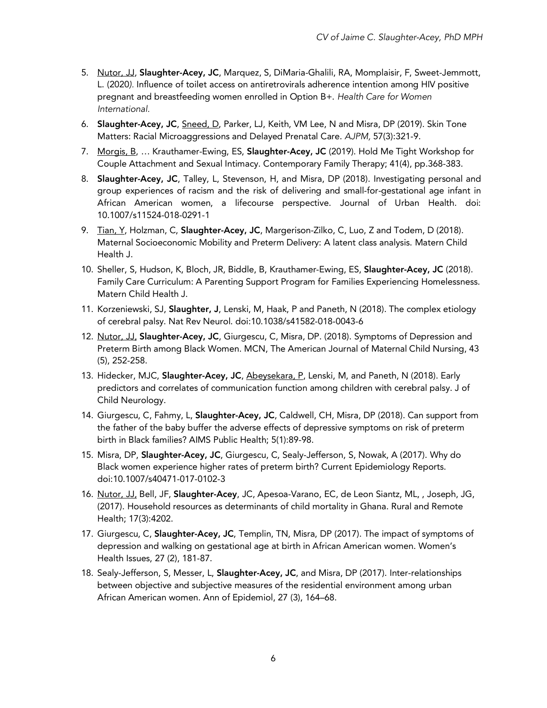- 5. Nutor, JJ, Slaughter-Acey, JC, Marquez, S, DiMaria-Ghalili, RA, Momplaisir, F, Sweet-Jemmott, L. (2020*).* Influence of toilet access on antiretrovirals adherence intention among HIV positive pregnant and breastfeeding women enrolled in Option B+. *Health Care for Women International.*
- 6. Slaughter-Acey, JC, Sneed, D, Parker, LJ, Keith, VM Lee, N and Misra, DP (2019). Skin Tone Matters: Racial Microaggressions and Delayed Prenatal Care. *AJPM,* 57(3):321-9.
- 7. Morgis, B, ... Krauthamer-Ewing, ES, Slaughter-Acey, JC (2019). Hold Me Tight Workshop for Couple Attachment and Sexual Intimacy. Contemporary Family Therapy; 41(4), pp.368-383.
- 8. Slaughter-Acey, JC, Talley, L, Stevenson, H, and Misra, DP (2018). Investigating personal and group experiences of racism and the risk of delivering and small-for-gestational age infant in African American women, a lifecourse perspective. Journal of Urban Health. doi: 10.1007/s11524-018-0291-1
- 9. Tian, Y, Holzman, C, Slaughter-Acey, JC, Margerison-Zilko, C, Luo, Z and Todem, D (2018). Maternal Socioeconomic Mobility and Preterm Delivery: A latent class analysis. Matern Child Health J.
- 10. Sheller, S, Hudson, K, Bloch, JR, Biddle, B, Krauthamer-Ewing, ES, Slaughter-Acey, JC (2018). Family Care Curriculum: A Parenting Support Program for Families Experiencing Homelessness. Matern Child Health J.
- 11. Korzeniewski, SJ, Slaughter, J, Lenski, M, Haak, P and Paneth, N (2018). The complex etiology of cerebral palsy. Nat Rev Neurol. doi:10.1038/s41582-018-0043-6
- 12. Nutor, JJ, Slaughter-Acey, JC, Giurgescu, C, Misra, DP. (2018). Symptoms of Depression and Preterm Birth among Black Women. MCN, The American Journal of Maternal Child Nursing, 43 (5), 252-258.
- 13. Hidecker, MJC, Slaughter-Acey, JC, Abeysekara, P, Lenski, M, and Paneth, N (2018). Early predictors and correlates of communication function among children with cerebral palsy. J of Child Neurology.
- 14. Giurgescu, C, Fahmy, L, Slaughter-Acey, JC, Caldwell, CH, Misra, DP (2018). Can support from the father of the baby buffer the adverse effects of depressive symptoms on risk of preterm birth in Black families? AIMS Public Health; 5(1):89-98.
- 15. Misra, DP, Slaughter-Acey, JC, Giurgescu, C, Sealy-Jefferson, S, Nowak, A (2017). Why do Black women experience higher rates of preterm birth? Current Epidemiology Reports. doi:10.1007/s40471-017-0102-3
- 16. Nutor, JJ, Bell, JF, Slaughter-Acey, JC, Apesoa-Varano, EC, de Leon Siantz, ML, , Joseph, JG, (2017). Household resources as determinants of child mortality in Ghana. Rural and Remote Health; 17(3):4202.
- 17. Giurgescu, C, Slaughter-Acey, JC, Templin, TN, Misra, DP (2017). The impact of symptoms of depression and walking on gestational age at birth in African American women. Women's Health Issues, 27 (2), 181-87.
- 18. Sealy-Jefferson, S, Messer, L, Slaughter-Acey, JC, and Misra, DP (2017). Inter-relationships between objective and subjective measures of the residential environment among urban African American women. Ann of Epidemiol, 27 (3), 164–68.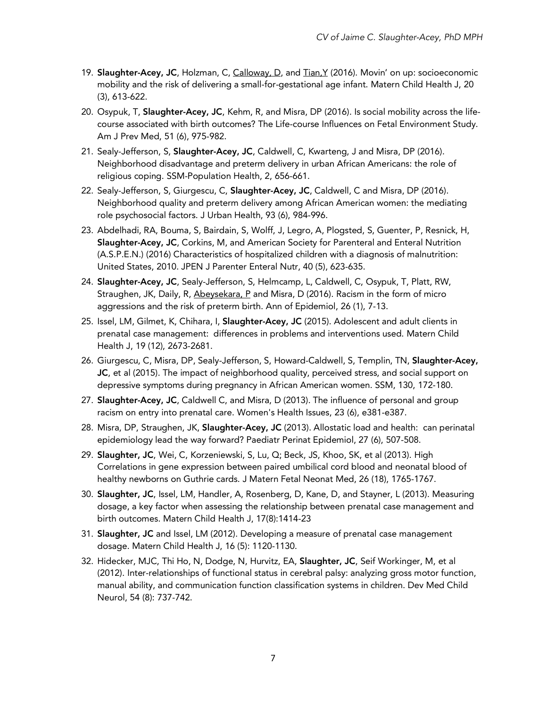- 19. Slaughter-Acey, JC, Holzman, C, Calloway, D, and Tian, Y (2016). Movin' on up: socioeconomic mobility and the risk of delivering a small-for-gestational age infant. Matern Child Health J, 20 (3), 613-622.
- 20. Osypuk, T, Slaughter-Acey, JC, Kehm, R, and Misra, DP (2016). Is social mobility across the lifecourse associated with birth outcomes? The Life-course Influences on Fetal Environment Study. Am J Prev Med, 51 (6), 975-982.
- 21. Sealy-Jefferson, S, Slaughter-Acey, JC, Caldwell, C, Kwarteng, J and Misra, DP (2016). Neighborhood disadvantage and preterm delivery in urban African Americans: the role of religious coping. SSM-Population Health, 2, 656-661.
- 22. Sealy-Jefferson, S, Giurgescu, C, Slaughter-Acey, JC, Caldwell, C and Misra, DP (2016). Neighborhood quality and preterm delivery among African American women: the mediating role psychosocial factors. J Urban Health, 93 (6), 984-996.
- 23. Abdelhadi, RA, Bouma, S, Bairdain, S, Wolff, J, Legro, A, Plogsted, S, Guenter, P, Resnick, H, Slaughter-Acey, JC, Corkins, M, and American Society for Parenteral and Enteral Nutrition (A.S.P.E.N.) (2016) Characteristics of hospitalized children with a diagnosis of malnutrition: United States, 2010. JPEN J Parenter Enteral Nutr, 40 (5), 623-635.
- 24. Slaughter-Acey, JC, Sealy-Jefferson, S, Helmcamp, L, Caldwell, C, Osypuk, T, Platt, RW, Straughen, JK, Daily, R, Abeysekara, P and Misra, D (2016). Racism in the form of micro aggressions and the risk of preterm birth. Ann of Epidemiol, 26 (1), 7-13.
- 25. Issel, LM, Gilmet, K, Chihara, I, Slaughter-Acey, JC (2015). Adolescent and adult clients in prenatal case management: differences in problems and interventions used. Matern Child Health J, 19 (12), 2673-2681.
- 26. Giurgescu, C, Misra, DP, Sealy-Jefferson, S, Howard-Caldwell, S, Templin, TN, Slaughter-Acey, JC, et al (2015). The impact of neighborhood quality, perceived stress, and social support on depressive symptoms during pregnancy in African American women. SSM, 130, 172-180.
- 27. Slaughter-Acey, JC, Caldwell C, and Misra, D (2013). The influence of personal and group racism on entry into prenatal care. Women's Health Issues, 23 (6), e381-e387.
- 28. Misra, DP, Straughen, JK, Slaughter-Acey, JC (2013). Allostatic load and health: can perinatal epidemiology lead the way forward? Paediatr Perinat Epidemiol, 27 (6), 507-508.
- 29. Slaughter, JC, Wei, C, Korzeniewski, S, Lu, Q; Beck, JS, Khoo, SK, et al (2013). High Correlations in gene expression between paired umbilical cord blood and neonatal blood of healthy newborns on Guthrie cards. J Matern Fetal Neonat Med, 26 (18), 1765-1767.
- 30. Slaughter, JC, Issel, LM, Handler, A, Rosenberg, D, Kane, D, and Stayner, L (2013). Measuring dosage, a key factor when assessing the relationship between prenatal case management and birth outcomes. Matern Child Health J, 17(8):1414-23
- 31. Slaughter, JC and Issel, LM (2012). Developing a measure of prenatal case management dosage. Matern Child Health J, 16 (5): 1120-1130.
- 32. Hidecker, MJC, Thi Ho, N, Dodge, N, Hurvitz, EA, Slaughter, JC, Seif Workinger, M, et al (2012). Inter-relationships of functional status in cerebral palsy: analyzing gross motor function, manual ability, and communication function classification systems in children. Dev Med Child Neurol, 54 (8): 737-742.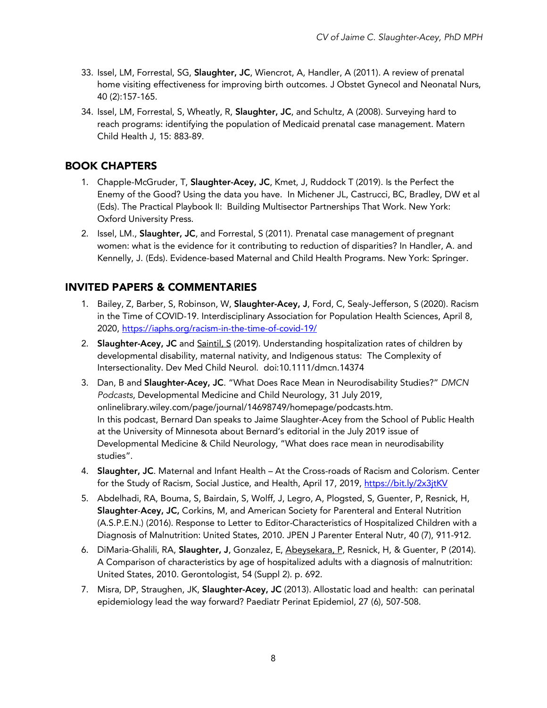- 33. Issel, LM, Forrestal, SG, Slaughter, JC, Wiencrot, A, Handler, A (2011). A review of prenatal home visiting effectiveness for improving birth outcomes. J Obstet Gynecol and Neonatal Nurs, 40 (2):157-165.
- 34. Issel, LM, Forrestal, S, Wheatly, R, Slaughter, JC, and Schultz, A (2008). Surveying hard to reach programs: identifying the population of Medicaid prenatal case management. Matern Child Health J, 15: 883-89.

# BOOK CHAPTERS

- 1. Chapple-McGruder, T, Slaughter-Acey, JC, Kmet, J, Ruddock T (2019). Is the Perfect the Enemy of the Good? Using the data you have. In Michener JL, Castrucci, BC, Bradley, DW et al (Eds). The Practical Playbook II: Building Multisector Partnerships That Work. New York: Oxford University Press.
- 2. Issel, LM., Slaughter, JC, and Forrestal, S (2011). Prenatal case management of pregnant women: what is the evidence for it contributing to reduction of disparities? In Handler, A. and Kennelly, J. (Eds). Evidence-based Maternal and Child Health Programs. New York: Springer.

# INVITED PAPERS & COMMENTARIES

- 1. Bailey, Z, Barber, S, Robinson, W, Slaughter-Acey, J, Ford, C, Sealy-Jefferson, S (2020). Racism in the Time of COVID-19. Interdisciplinary Association for Population Health Sciences, April 8, 2020, https://iaphs.org/racism-in-the-time-of-covid-19/
- 2. Slaughter-Acey, JC and Saintil, S (2019). Understanding hospitalization rates of children by developmental disability, maternal nativity, and Indigenous status: The Complexity of Intersectionality. Dev Med Child Neurol. doi:10.1111/dmcn.14374
- 3. Dan, B and Slaughter-Acey, JC. "What Does Race Mean in Neurodisability Studies?" *DMCN Podcasts*, Developmental Medicine and Child Neurology, 31 July 2019, onlinelibrary.wiley.com/page/journal/14698749/homepage/podcasts.htm. In this podcast, Bernard Dan speaks to Jaime Slaughter-Acey from the School of Public Health at the University of Minnesota about Bernard's editorial in the July 2019 issue of Developmental Medicine & Child Neurology, "What does race mean in neurodisability studies".
- 4. Slaughter, JC. Maternal and Infant Health At the Cross-roads of Racism and Colorism. Center for the Study of Racism, Social Justice, and Health, April 17, 2019, https://bit.ly/2x3jtKV
- 5. Abdelhadi, RA, Bouma, S, Bairdain, S, Wolff, J, Legro, A, Plogsted, S, Guenter, P, Resnick, H, Slaughter-Acey, JC, Corkins, M, and American Society for Parenteral and Enteral Nutrition (A.S.P.E.N.) (2016). Response to Letter to Editor-Characteristics of Hospitalized Children with a Diagnosis of Malnutrition: United States, 2010. JPEN J Parenter Enteral Nutr, 40 (7), 911-912.
- 6. DiMaria-Ghalili, RA, Slaughter, J, Gonzalez, E, Abeysekara, P, Resnick, H, & Guenter, P (2014). A Comparison of characteristics by age of hospitalized adults with a diagnosis of malnutrition: United States, 2010. Gerontologist, 54 (Suppl 2). p. 692.
- 7. Misra, DP, Straughen, JK, Slaughter-Acey, JC (2013). Allostatic load and health: can perinatal epidemiology lead the way forward? Paediatr Perinat Epidemiol, 27 (6), 507-508.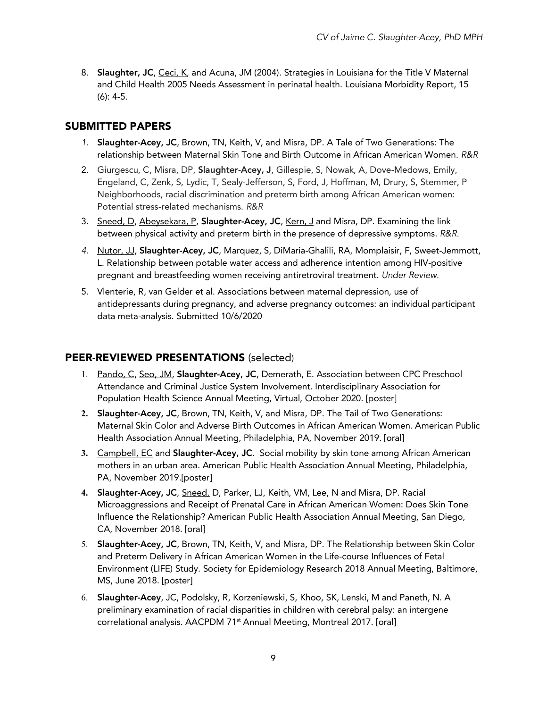8. Slaughter, JC, Ceci, K, and Acuna, JM (2004). Strategies in Louisiana for the Title V Maternal and Child Health 2005 Needs Assessment in perinatal health. Louisiana Morbidity Report, 15 (6): 4-5.

# SUBMITTED PAPERS

- *1.* Slaughter-Acey, JC, Brown, TN, Keith, V, and Misra, DP. A Tale of Two Generations: The relationship between Maternal Skin Tone and Birth Outcome in African American Women. *R&R*
- 2. Giurgescu, C, Misra, DP, Slaughter-Acey, J, Gillespie, S, Nowak, A, Dove-Medows, Emily, Engeland, C, Zenk, S, Lydic, T, Sealy-Jefferson, S, Ford, J, Hoffman, M, Drury, S, Stemmer, P Neighborhoods, racial discrimination and preterm birth among African American women: Potential stress-related mechanisms. *R&R*
- 3. Sneed, D, Abeysekara, P, Slaughter-Acey, JC, Kern, J and Misra, DP. Examining the link between physical activity and preterm birth in the presence of depressive symptoms. *R&R.*
- 4. Nutor, JJ, Slaughter-Acey, JC, Marquez, S, DiMaria-Ghalili, RA, Momplaisir, F, Sweet-Jemmott, L. Relationship between potable water access and adherence intention among HIV-positive pregnant and breastfeeding women receiving antiretroviral treatment. *Under Review.*
- 5. Vlenterie, R, van Gelder et al. Associations between maternal depression, use of antidepressants during pregnancy, and adverse pregnancy outcomes: an individual participant data meta-analysis. Submitted 10/6/2020

# PEER-REVIEWED PRESENTATIONS (selected)

- 1. Pando, C, Seo, JM, Slaughter-Acey, JC, Demerath, E. Association between CPC Preschool Attendance and Criminal Justice System Involvement. Interdisciplinary Association for Population Health Science Annual Meeting, Virtual, October 2020. [poster]
- **2.** Slaughter-Acey, JC, Brown, TN, Keith, V, and Misra, DP. The Tail of Two Generations: Maternal Skin Color and Adverse Birth Outcomes in African American Women. American Public Health Association Annual Meeting, Philadelphia, PA, November 2019. [oral]
- **3.** Campbell, EC and Slaughter-Acey, JC. Social mobility by skin tone among African American mothers in an urban area. American Public Health Association Annual Meeting, Philadelphia, PA, November 2019.[poster]
- **4.** Slaughter-Acey, JC, Sneed, D, Parker, LJ, Keith, VM, Lee, N and Misra, DP. Racial Microaggressions and Receipt of Prenatal Care in African American Women: Does Skin Tone Influence the Relationship? American Public Health Association Annual Meeting, San Diego, CA, November 2018. [oral]
- 5. Slaughter-Acey, JC, Brown, TN, Keith, V, and Misra, DP. The Relationship between Skin Color and Preterm Delivery in African American Women in the Life-course Influences of Fetal Environment (LIFE) Study. Society for Epidemiology Research 2018 Annual Meeting, Baltimore, MS, June 2018. [poster]
- 6. Slaughter-Acey, JC, Podolsky, R, Korzeniewski, S, Khoo, SK, Lenski, M and Paneth, N. A preliminary examination of racial disparities in children with cerebral palsy: an intergene correlational analysis. AACPDM 71<sup>st</sup> Annual Meeting, Montreal 2017. [oral]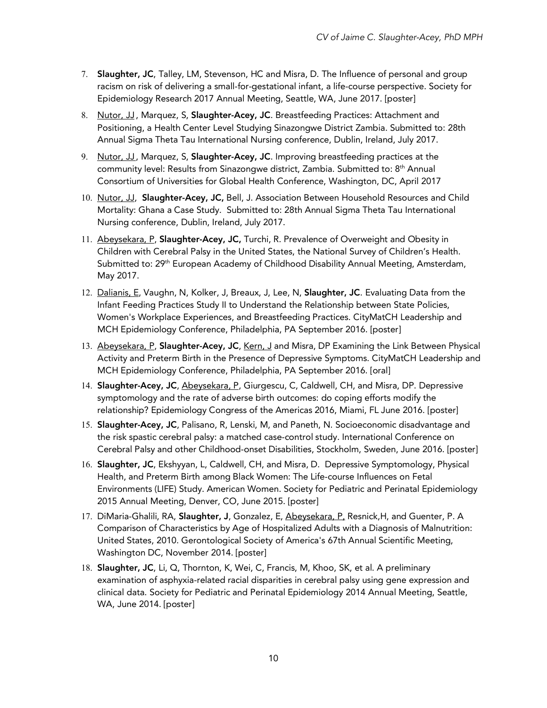- 7. Slaughter, JC, Talley, LM, Stevenson, HC and Misra, D. The Influence of personal and group racism on risk of delivering a small-for-gestational infant, a life-course perspective. Society for Epidemiology Research 2017 Annual Meeting, Seattle, WA, June 2017. [poster]
- 8. Nutor, JJ, Marquez, S, Slaughter-Acey, JC. Breastfeeding Practices: Attachment and Positioning, a Health Center Level Studying Sinazongwe District Zambia. Submitted to: 28th Annual Sigma Theta Tau International Nursing conference, Dublin, Ireland, July 2017.
- 9. Nutor, JJ, Marquez, S, Slaughter-Acey, JC. Improving breastfeeding practices at the community level: Results from Sinazongwe district, Zambia. Submitted to: 8th Annual Consortium of Universities for Global Health Conference, Washington, DC, April 2017
- 10. Nutor, JJ, Slaughter-Acey, JC, Bell, J. Association Between Household Resources and Child Mortality: Ghana a Case Study. Submitted to: 28th Annual Sigma Theta Tau International Nursing conference, Dublin, Ireland, July 2017.
- 11. Abeysekara, P, Slaughter-Acey, JC, Turchi, R. Prevalence of Overweight and Obesity in Children with Cerebral Palsy in the United States, the National Survey of Children's Health. Submitted to: 29<sup>th</sup> European Academy of Childhood Disability Annual Meeting, Amsterdam, May 2017.
- 12. Dalianis, E, Vaughn, N, Kolker, J, Breaux, J, Lee, N, Slaughter, JC. Evaluating Data from the Infant Feeding Practices Study II to Understand the Relationship between State Policies, Women's Workplace Experiences, and Breastfeeding Practices. CityMatCH Leadership and MCH Epidemiology Conference, Philadelphia, PA September 2016. [poster]
- 13. Abeysekara, P, Slaughter-Acey, JC, Kern, J and Misra, DP Examining the Link Between Physical Activity and Preterm Birth in the Presence of Depressive Symptoms. CityMatCH Leadership and MCH Epidemiology Conference, Philadelphia, PA September 2016. [oral]
- 14. Slaughter-Acey, JC, Abeysekara, P, Giurgescu, C, Caldwell, CH, and Misra, DP. Depressive symptomology and the rate of adverse birth outcomes: do coping efforts modify the relationship? Epidemiology Congress of the Americas 2016, Miami, FL June 2016. [poster]
- 15. Slaughter-Acey, JC, Palisano, R, Lenski, M, and Paneth, N. Socioeconomic disadvantage and the risk spastic cerebral palsy: a matched case-control study. International Conference on Cerebral Palsy and other Childhood-onset Disabilities, Stockholm, Sweden, June 2016. [poster]
- 16. Slaughter, JC, Ekshyyan, L, Caldwell, CH, and Misra, D. Depressive Symptomology, Physical Health, and Preterm Birth among Black Women: The Life-course Influences on Fetal Environments (LIFE) Study. American Women. Society for Pediatric and Perinatal Epidemiology 2015 Annual Meeting, Denver, CO, June 2015. [poster]
- 17. DiMaria-Ghalili, RA, Slaughter, J, Gonzalez, E, Abeysekara, P, Resnick, H, and Guenter, P. A Comparison of Characteristics by Age of Hospitalized Adults with a Diagnosis of Malnutrition: United States, 2010. Gerontological Society of America's 67th Annual Scientific Meeting, Washington DC, November 2014. [poster]
- 18. Slaughter, JC, Li, Q, Thornton, K, Wei, C, Francis, M, Khoo, SK, et al. A preliminary examination of asphyxia-related racial disparities in cerebral palsy using gene expression and clinical data. Society for Pediatric and Perinatal Epidemiology 2014 Annual Meeting, Seattle, WA, June 2014. [poster]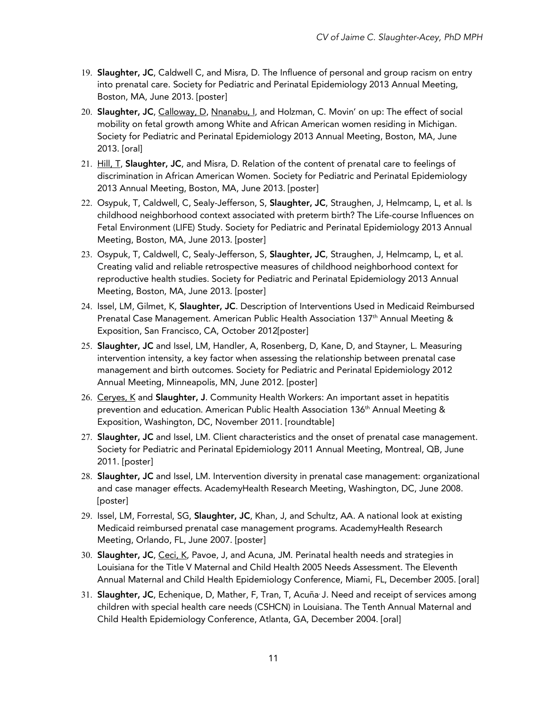- 19. Slaughter, JC, Caldwell C, and Misra, D. The Influence of personal and group racism on entry into prenatal care. Society for Pediatric and Perinatal Epidemiology 2013 Annual Meeting, Boston, MA, June 2013. [poster]
- 20. Slaughter, JC, Calloway, D, Nnanabu, I, and Holzman, C. Movin' on up: The effect of social mobility on fetal growth among White and African American women residing in Michigan. Society for Pediatric and Perinatal Epidemiology 2013 Annual Meeting, Boston, MA, June 2013. [oral]
- 21. Hill, T, Slaughter, JC, and Misra, D. Relation of the content of prenatal care to feelings of discrimination in African American Women. Society for Pediatric and Perinatal Epidemiology 2013 Annual Meeting, Boston, MA, June 2013. [poster]
- 22. Osypuk, T, Caldwell, C, Sealy-Jefferson, S, Slaughter, JC, Straughen, J, Helmcamp, L, et al. Is childhood neighborhood context associated with preterm birth? The Life-course Influences on Fetal Environment (LIFE) Study. Society for Pediatric and Perinatal Epidemiology 2013 Annual Meeting, Boston, MA, June 2013. [poster]
- 23. Osypuk, T, Caldwell, C, Sealy-Jefferson, S, Slaughter, JC, Straughen, J, Helmcamp, L, et al. Creating valid and reliable retrospective measures of childhood neighborhood context for reproductive health studies. Society for Pediatric and Perinatal Epidemiology 2013 Annual Meeting, Boston, MA, June 2013. [poster]
- 24. Issel, LM, Gilmet, K, Slaughter, JC. Description of Interventions Used in Medicaid Reimbursed Prenatal Case Management. American Public Health Association 137th Annual Meeting & Exposition, San Francisco, CA, October 2012[poster]
- 25. Slaughter, JC and Issel, LM, Handler, A, Rosenberg, D, Kane, D, and Stayner, L. Measuring intervention intensity, a key factor when assessing the relationship between prenatal case management and birth outcomes. Society for Pediatric and Perinatal Epidemiology 2012 Annual Meeting, Minneapolis, MN, June 2012. [poster]
- 26. Cerves, K and Slaughter, J. Community Health Workers: An important asset in hepatitis prevention and education. American Public Health Association 136th Annual Meeting & Exposition, Washington, DC, November 2011. [roundtable]
- 27. Slaughter, JC and Issel, LM. Client characteristics and the onset of prenatal case management. Society for Pediatric and Perinatal Epidemiology 2011 Annual Meeting, Montreal, QB, June 2011. [poster]
- 28. Slaughter, JC and Issel, LM. Intervention diversity in prenatal case management: organizational and case manager effects. AcademyHealth Research Meeting, Washington, DC, June 2008. [poster]
- 29. Issel, LM, Forrestal, SG, Slaughter, JC, Khan, J, and Schultz, AA. A national look at existing Medicaid reimbursed prenatal case management programs. AcademyHealth Research Meeting, Orlando, FL, June 2007. [poster]
- 30. Slaughter, JC, Ceci, K, Pavoe, J, and Acuna, JM. Perinatal health needs and strategies in Louisiana for the Title V Maternal and Child Health 2005 Needs Assessment. The Eleventh Annual Maternal and Child Health Epidemiology Conference, Miami, FL, December 2005. [oral]
- 31. Slaughter, JC, Echenique, D, Mather, F, Tran, T, Acuña<sup>,</sup> J. Need and receipt of services among children with special health care needs (CSHCN) in Louisiana. The Tenth Annual Maternal and Child Health Epidemiology Conference, Atlanta, GA, December 2004. [oral]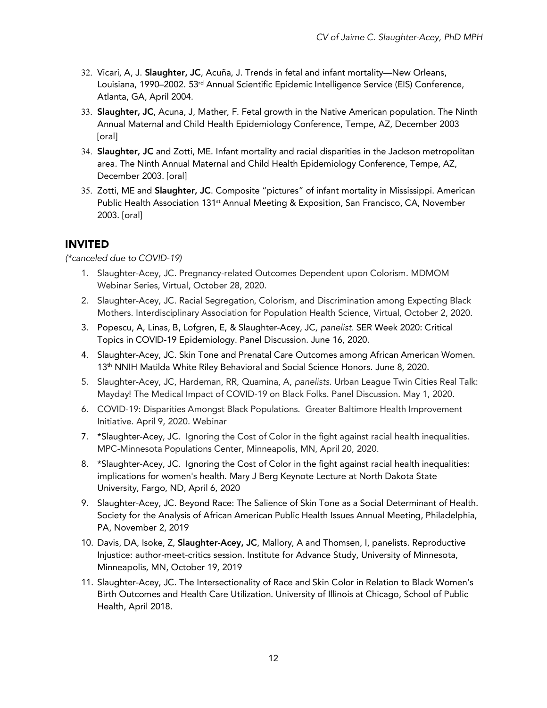- 32. Vicari, A, J. Slaughter, JC, Acuña, J. Trends in fetal and infant mortality—New Orleans, Louisiana, 1990–2002. 53<sup>rd</sup> Annual Scientific Epidemic Intelligence Service (EIS) Conference, Atlanta, GA, April 2004.
- 33. Slaughter, JC, Acuna, J, Mather, F. Fetal growth in the Native American population. The Ninth Annual Maternal and Child Health Epidemiology Conference, Tempe, AZ, December 2003 [oral]
- 34. Slaughter, JC and Zotti, ME. Infant mortality and racial disparities in the Jackson metropolitan area. The Ninth Annual Maternal and Child Health Epidemiology Conference, Tempe, AZ, December 2003. [oral]
- 35. Zotti, ME and Slaughter, JC. Composite "pictures" of infant mortality in Mississippi. American Public Health Association 131<sup>st</sup> Annual Meeting & Exposition, San Francisco, CA, November 2003. [oral]

# INVITED

*(\*canceled due to COVID-19)*

- 1. Slaughter-Acey, JC. Pregnancy-related Outcomes Dependent upon Colorism. MDMOM Webinar Series, Virtual, October 28, 2020.
- 2. Slaughter-Acey, JC. Racial Segregation, Colorism, and Discrimination among Expecting Black Mothers. Interdisciplinary Association for Population Health Science, Virtual, October 2, 2020.
- 3. Popescu, A, Linas, B, Lofgren, E, & Slaughter-Acey, JC*, panelist.* SER Week 2020: Critical Topics in COVID-19 Epidemiology. Panel Discussion. June 16, 2020.
- 4. Slaughter-Acey, JC. Skin Tone and Prenatal Care Outcomes among African American Women. 13<sup>th</sup> NNIH Matilda White Riley Behavioral and Social Science Honors. June 8, 2020.
- 5. Slaughter-Acey, JC, Hardeman, RR, Quamina, A, *panelists*. Urban League Twin Cities Real Talk: Mayday! The Medical Impact of COVID-19 on Black Folks. Panel Discussion. May 1, 2020.
- 6. COVID-19: Disparities Amongst Black Populations. Greater Baltimore Health Improvement Initiative. April 9, 2020. Webinar
- 7. \*Slaughter-Acey, JC. Ignoring the Cost of Color in the fight against racial health inequalities. MPC-Minnesota Populations Center, Minneapolis, MN, April 20, 2020.
- 8. \*Slaughter-Acey, JC. Ignoring the Cost of Color in the fight against racial health inequalities: implications for women's health. Mary J Berg Keynote Lecture at North Dakota State University, Fargo, ND, April 6, 2020
- 9. Slaughter-Acey, JC. Beyond Race: The Salience of Skin Tone as a Social Determinant of Health. Society for the Analysis of African American Public Health Issues Annual Meeting, Philadelphia, PA, November 2, 2019
- 10. Davis, DA, Isoke, Z, Slaughter-Acey, JC, Mallory, A and Thomsen, I, panelists. Reproductive Injustice: author-meet-critics session. Institute for Advance Study, University of Minnesota, Minneapolis, MN, October 19, 2019
- 11. Slaughter-Acey, JC. The Intersectionality of Race and Skin Color in Relation to Black Women's Birth Outcomes and Health Care Utilization. University of Illinois at Chicago, School of Public Health, April 2018.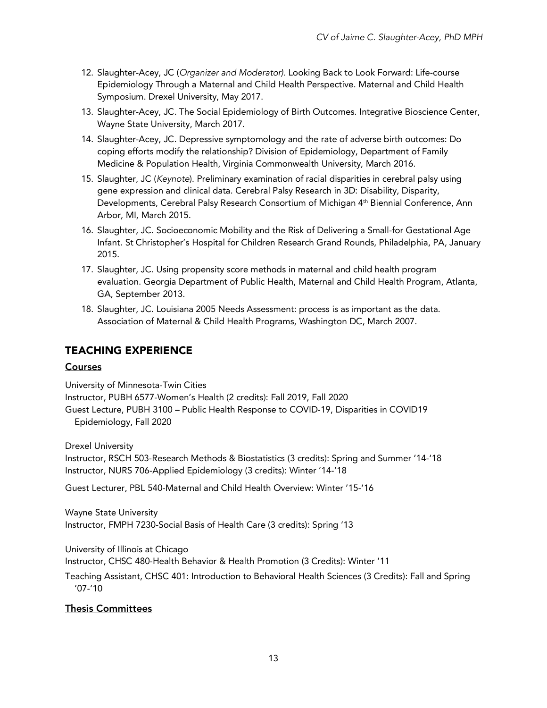- 12. Slaughter-Acey, JC (*Organizer and Moderator).* Looking Back to Look Forward: Life-course Epidemiology Through a Maternal and Child Health Perspective. Maternal and Child Health Symposium. Drexel University, May 2017.
- 13. Slaughter-Acey, JC. The Social Epidemiology of Birth Outcomes. Integrative Bioscience Center, Wayne State University, March 2017.
- 14. Slaughter-Acey, JC. Depressive symptomology and the rate of adverse birth outcomes: Do coping efforts modify the relationship? Division of Epidemiology, Department of Family Medicine & Population Health, Virginia Commonwealth University, March 2016.
- 15. Slaughter, JC (*Keynote*). Preliminary examination of racial disparities in cerebral palsy using gene expression and clinical data. Cerebral Palsy Research in 3D: Disability, Disparity, Developments, Cerebral Palsy Research Consortium of Michigan 4<sup>th</sup> Biennial Conference, Ann Arbor, MI, March 2015.
- 16. Slaughter, JC. Socioeconomic Mobility and the Risk of Delivering a Small-for Gestational Age Infant. St Christopher's Hospital for Children Research Grand Rounds, Philadelphia, PA, January 2015.
- 17. Slaughter, JC. Using propensity score methods in maternal and child health program evaluation. Georgia Department of Public Health, Maternal and Child Health Program, Atlanta, GA, September 2013.
- 18. Slaughter, JC. Louisiana 2005 Needs Assessment: process is as important as the data. Association of Maternal & Child Health Programs, Washington DC, March 2007.

# TEACHING EXPERIENCE

### **Courses**

University of Minnesota-Twin Cities Instructor, PUBH 6577-Women's Health (2 credits): Fall 2019, Fall 2020 Guest Lecture, PUBH 3100 – Public Health Response to COVID-19, Disparities in COVID19 Epidemiology, Fall 2020

Drexel University

Instructor, RSCH 503-Research Methods & Biostatistics (3 credits): Spring and Summer '14-'18 Instructor, NURS 706-Applied Epidemiology (3 credits): Winter '14-'18

Guest Lecturer, PBL 540-Maternal and Child Health Overview: Winter '15-'16

Wayne State University Instructor, FMPH 7230-Social Basis of Health Care (3 credits): Spring '13

University of Illinois at Chicago

Instructor, CHSC 480-Health Behavior & Health Promotion (3 Credits): Winter '11

Teaching Assistant, CHSC 401: Introduction to Behavioral Health Sciences (3 Credits): Fall and Spring '07-'10

### Thesis Committees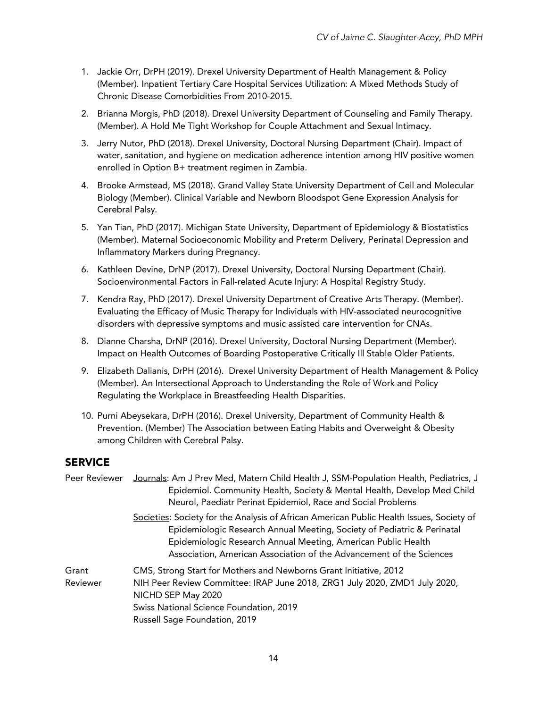- 1. Jackie Orr, DrPH (2019). Drexel University Department of Health Management & Policy (Member). Inpatient Tertiary Care Hospital Services Utilization: A Mixed Methods Study of Chronic Disease Comorbidities From 2010-2015.
- 2. Brianna Morgis, PhD (2018). Drexel University Department of Counseling and Family Therapy. (Member). A Hold Me Tight Workshop for Couple Attachment and Sexual Intimacy.
- 3. Jerry Nutor, PhD (2018). Drexel University, Doctoral Nursing Department (Chair). Impact of water, sanitation, and hygiene on medication adherence intention among HIV positive women enrolled in Option B+ treatment regimen in Zambia.
- 4. Brooke Armstead, MS (2018). Grand Valley State University Department of Cell and Molecular Biology (Member). Clinical Variable and Newborn Bloodspot Gene Expression Analysis for Cerebral Palsy.
- 5. Yan Tian, PhD (2017). Michigan State University, Department of Epidemiology & Biostatistics (Member). Maternal Socioeconomic Mobility and Preterm Delivery, Perinatal Depression and Inflammatory Markers during Pregnancy.
- 6. Kathleen Devine, DrNP (2017). Drexel University, Doctoral Nursing Department (Chair). Socioenvironmental Factors in Fall-related Acute Injury: A Hospital Registry Study.
- 7. Kendra Ray, PhD (2017). Drexel University Department of Creative Arts Therapy. (Member). Evaluating the Efficacy of Music Therapy for Individuals with HIV-associated neurocognitive disorders with depressive symptoms and music assisted care intervention for CNAs.
- 8. Dianne Charsha, DrNP (2016). Drexel University, Doctoral Nursing Department (Member). Impact on Health Outcomes of Boarding Postoperative Critically Ill Stable Older Patients.
- 9. Elizabeth Dalianis, DrPH (2016). Drexel University Department of Health Management & Policy (Member). An Intersectional Approach to Understanding the Role of Work and Policy Regulating the Workplace in Breastfeeding Health Disparities.
- 10. Purni Abeysekara, DrPH (2016). Drexel University, Department of Community Health & Prevention. (Member) The Association between Eating Habits and Overweight & Obesity among Children with Cerebral Palsy.

# **SERVICE**

| Peer Reviewer     | Journals: Am J Prev Med, Matern Child Health J, SSM-Population Health, Pediatrics, J<br>Epidemiol. Community Health, Society & Mental Health, Develop Med Child<br>Neurol, Paediatr Perinat Epidemiol, Race and Social Problems                                                                              |
|-------------------|--------------------------------------------------------------------------------------------------------------------------------------------------------------------------------------------------------------------------------------------------------------------------------------------------------------|
|                   | Societies: Society for the Analysis of African American Public Health Issues, Society of<br>Epidemiologic Research Annual Meeting, Society of Pediatric & Perinatal<br>Epidemiologic Research Annual Meeting, American Public Health<br>Association, American Association of the Advancement of the Sciences |
| Grant<br>Reviewer | CMS, Strong Start for Mothers and Newborns Grant Initiative, 2012<br>NIH Peer Review Committee: IRAP June 2018, ZRG1 July 2020, ZMD1 July 2020,<br>NICHD SEP May 2020<br>Swiss National Science Foundation, 2019<br>Russell Sage Foundation, 2019                                                            |